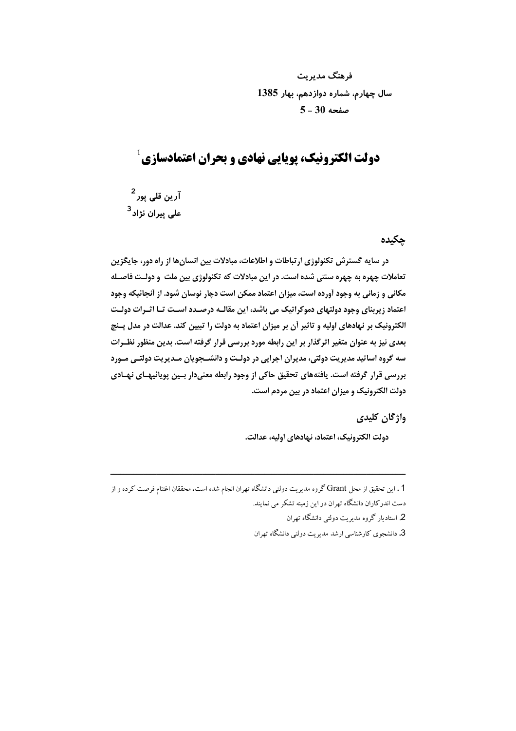فرهنگ مدیریت سال چهارم، شماره دوازدهم، بهار 1385  $5 - 30$  صفحه

## $^1$ دولت الکترونیک، پویایی نهادی و بحران اعتمادسازی

۔<br>آرین قلی یور <sup>2</sup> علی پیران نژاد<sup>3</sup>

## چکیدہ

در سایه گسترش تکنولوژی ارتباطات و اطلاعات، مبادلات بین انسانها از راه دور، جایگزین تعاملات چهره به چهره سنتي شده است. در اين مبادلات كه تكنولوژي بين ملت و دولـت فاصـله مکانی و زمانی به وجود آورده است، میزان اعتماد ممکن است دچار نوسان شود. از آنجائیکه وجود اعتماد ; پرینای وجود دولتهای دموکراتیک می باشد، این مقالـه درصـدد اسـت تـا اثـرات دولـت الکترونیک بر نهادهای اولیه و تاثیر آن بر میزان اعتماد به دولت را تبیین کند. عدالت در مدل پـنج بعدی نیز به عنوان متغیر اثرگذار بر این رابطه مورد بررسی قرار گرفته است. بدین منظور نظـرات سه گروه اساتید مدیریت دولتی، مدیران اجرایی در دولـت و دانشــجویان مــدیریت دولتــی مــورد بررسی قرار گرفته است. یافتههای تحقیق حاکی از وجود رابطه معنیدار بسین پویائیهـای نهـادی دولت الکترونیک و میزان اعتماد در بین مردم است.

## واژگان کلیدی

دولت الكترونيك، اعتماد، نهادهاي اوليه، عدالت.

2. استادیار گروه مدیریت دولتی دانشگاه تهران

<sup>1 .</sup> این تحقیق از محل Grant گروه مدیریت دولتی دانشگاه تهران انجام شده است. محققان اغتنام فرصت کرده و از دست اندر کاران دانشگاه تهران در این زمینه تشکر می نمایند.

<sup>3.</sup> دانشجوی کارشناسی ارشد مدیریت دولتی دانشگاه تهران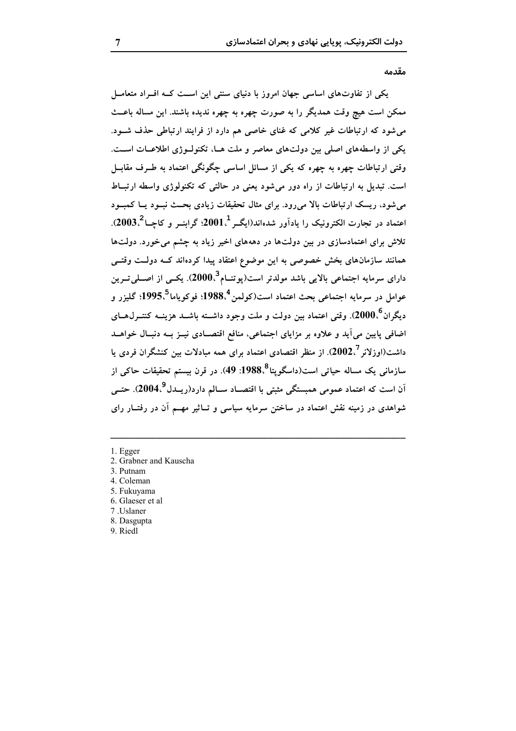#### مقدمه

یکی از تفاوتهای اساسی جهان امروز با دنیای سنتی این اسـت کـه افـراد متعامـل ممکن است هیچ وقت همدیگر را به صورت چهره به چهره ندیده باشند. این مساله باعـث می شود که ارتباطات غیر کلامی که غنای خاصی هم دارد از فرایند ارتباطی حذف شـود. یکی از واسطههای اصلی بین دولتهای معاصر و ملت هـا، تکنولـوژی اطلاعـات اسـت. وقتی ارتباطات چهره به چهره که یکی از مسائل اساسی چگونگی اعتماد به طـرف مقابــل است. تبدیل به ارتباطات از راه دور می شود یعنی در حالتی که تکنولوژی واسطه ارتبـاط مرشود، ریسک ارتباطات بالا مررود. برای مثال تحقیقات زیادی بحث نسود سا کمسود اعتماد در تجارت الکترونیک را یادآور شدهاند(ایگـر $1$ 101؛ گرابنــر و کاچــا $3.2003$ ). تلاش برای اعتمادسازی در بین دولتها در دهههای اخیر زیاد به چشم می خورد. دولتها همانند سازمانهای بخش خصوصی به این موضوع اعتقاد پیدا کردهاند کـه دولـت وقتــی دارای سرمایه اجتماعی بالایی باشد مولدتر است(یوتنــام<sup>3</sup>،2000). یکــی از اصــلی تــرین عوامل در سرمايه اجتماعي بحث اعتماد است(كولمن<sup>4</sup>،1988؛ فوكوياما<sup>5</sup>،1995؛ گليزر و ديگران°،2000). وقتي اعتماد بين دولت و ملت وجود داشــته باشــد هزينــه کنتــرل@ــاي اضافی پایین می آید و علاوه بر مزایای اجتماعی، منافع اقتصـادی نیــز بــه دنبــال خواهــد داشت(اوزلانر 2002٪). از منظر اقتصادی اعتماد برای همه مبادلات بین کنشگران فردی یا سازمانی یک مساله حیاتی است(داسگویتا<sup>8</sup>،1988: 49). در قرن بیستم تحقیقات حاکی از اَن است که اعتماد عمومی همبستگی مثبتی با اقتصــاد ســالم دارد(ریــدل<sup>9</sup>،2004). حتــی شواهدی در زمینه نقش اعتماد در ساختن سرمایه سیاسی و تــاثیر مهــم آن در رفتــار رای

- 1. Egger
- 2. Grabner and Kauscha
- 3. Putnam
- 4 Coleman
- 5. Fukuyama
- 6. Glaeser et al
- 7 .Uslaner
- 8. Dasgupta
- 9. Riedl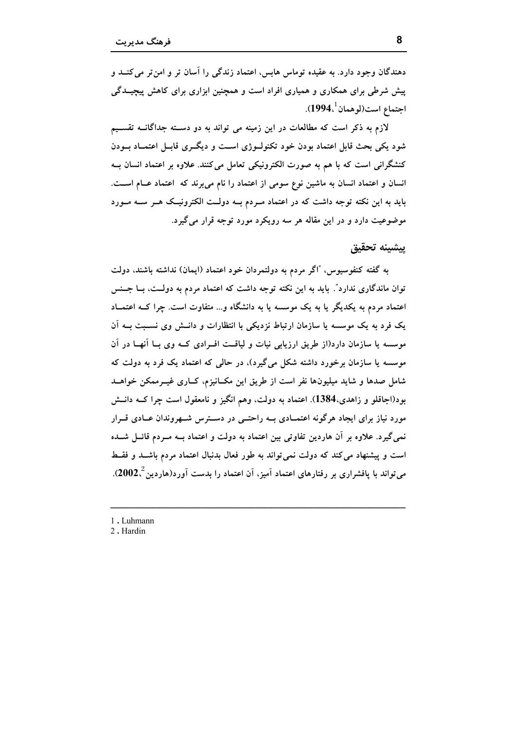دهندگان وجود دارد. به عقیده توماس هابس، اعتماد زندگی را آسان تر و امن تر می کنــد و پیش شرطی برای همکاری و همپاری افراد است و همچنین ابزاری برای کاهش پیچیدگی اجتماع است(لوهمان <sup>'</sup>،1994).

لازم به ذکر است که مطالعات در این زمینه می تواند به دو دسته جداگانــه تقســیم شود یکی بحث قابل اعتماد بودن خود تکنولــوژی اســت و دیگــری قابــل اعتمــاد بــودن کنشگرانی است که با هم به صورت الکترونیکی تعامل میکنند. علاوه بر اعتماد انسان بـه انسان و اعتماد انسان به ماشین نوع سومی از اعتماد را نام می برند که اعتماد عــام اســت. باید به این نکته توجه داشت که در اعتماد مــردم بــه دولــت الکترونیــک هــر ســه مــورد موضوعیت دارد و در این مقاله هر سه رویکرد مورد توجه قرار میگیرد.

ييشينه تحقيق

به گفته کنفوسیوس، "اگر مردم به دولتمردان خود اعتماد (ایمان) نداشته باشند، دولت توان ماندگاری ندارد". باید به این نکته توجه داشت که اعتماد مردم به دولـت، بــا جــنس اعتماد مردم به یکدیگر یا به یک موسسه یا به دانشگاه و... متفاوت است. چرا کــه اعتمــاد یک فرد به یک موسسه یا سازمان ارتباط نزدیکی با انتظارات و دانــش وی نســبت بــه اَن موسسه یا سازمان دارد(از طریق ارزیابی نیات و لیاقت افـرادی کــه وی بــا آنهــا در آن موسسه یا سازمان برخورد داشته شکل میگیرد)، در حالی که اعتماد یک فرد به دولت که شامل صدها و شاید میلیونها نفر است از طریق این مکـانیزم، کــاری غیــرممکن خواهــد بود(اجاقلو و زاهدی،1384). اعتماد به دولت، وهم انگیز و نامعقول است چرا کــه دانــش مورد نیاز برای ایجاد هرگونه اعتمـادی بــه راحتــی در دســترس شــهروندان عــادی قــرار نمی گیرد. علاوه بر آن هاردین تفاوتی بین اعتماد به دولت و اعتماد بــه مــردم قائــل شـــده است و پیشنهاد می کند که دولت نمی تواند به طور فعال بدنبال اعتماد مردم باشــد و فقــط میتواند با پافشراری بر رفتارهای اعتماد آمیز، آن اعتماد را بدست آورد(هاردین $2$ ،2002).

1. Luhmann

2. Hardin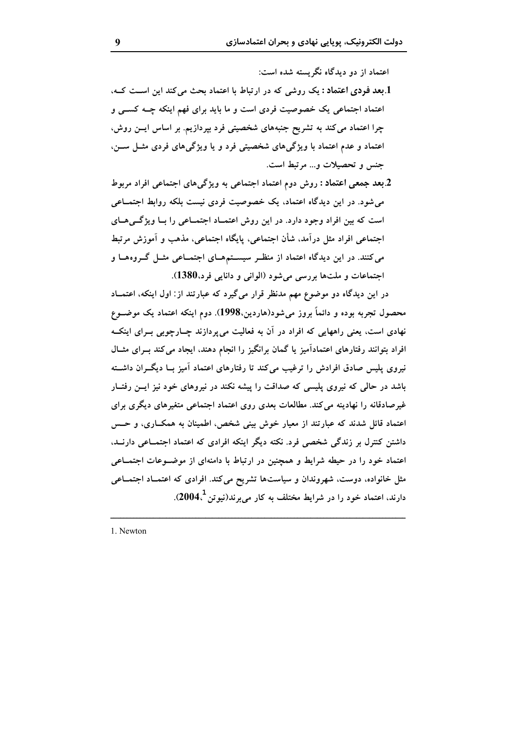اعتماد از دو دیدگاه نگریسته شده است:

- 1.بعد فودی اعتماد : یک روشی که در ارتباط با اعتماد بحث می کند این است کـه، اعتماد اجتماعی یک خصوصیت فردی است و ما باید برای فهم اینکه چــه کســی و چرا اعتماد می کند به تشریح جنبههای شخصیتی فرد بپردازیم. بر اساس ایسن روش، اعتماد و عدم اعتماد با ویژگیهای شخصیتی فرد و یا ویژگیهای فردی مثـل سـن، جنس و تحصیلات و... مرتبط است.
- 2.بعد جمعی اعتماد : روش دوم اعتماد اجتماعی به ویژگیهای اجتماعی افراد مربوط می شود. در این دیدگاه اعتماد، یک خصوصیت فردی نیست بلکه روابط اجتمـاعی است که بین افراد وجود دارد. در این روش اعتمـاد اجتمـاعی را بـا ویژگـیهـای اجتماعی افراد مثل درآمد، شأن اجتماعی، پایگاه اجتماعی، مذهب و آموزش مرتبط می کنند. در این دیدگاه اعتماد از منظر سیستمهای اجتمـاعی مثـل گـروههـا و اجتماعات و ملتها بررسی میشود (الوانی و دانایی فرد،1380).

در این دیدگاه دو موضوع مهم مدنظر قرار میگیرد که عبارتند از: اول اینکه، اعتمــاد محصول تجربه بوده و دائماً بروز می شود(هاردین،1998). دوم اینکه اعتماد یک موضــوع نهادی است، یعنی راههایی که افراد در آن به فعالیت می پردازند چــارچوبی بــرای اینکــه افراد بتوانند رفتارهای اعتمادآمیز یا گمان برانگیز را انجام دهند، ایجاد می کند بـرای مثــال نیروی پلیس صادق افرادش را ترغیب میکند تا رفتارهای اعتماد آمیز بــا دیگــران داشــته باشد در حالی که نیروی پلیسی که صداقت را پیشه نکند در نیروهای خود نیز ایــن رفتــار غیرصادقانه را نهادینه می کند. مطالعات بعدی روی اعتماد اجتماعی متغیرهای دیگری برای اعتماد قائل شدند که عبارتند از معیار خوش بینی شخص، اطمینان به همکـاری، و حـس داشتن کنترل بر زندگی شخصی فرد. نکته دیگر اینکه افرادی که اعتماد اجتمــاعی دارنــد، اعتماد خود را در حیطه شرایط و همچنین در ارتباط با دامنهای از موضـوعات اجتمــاعی مثل خانواده، دوست، شهروندان و سیاستها تشریح میکند. افرادی که اعتمـاد اجتمـاعی دارند، اعتماد خود را در شرایط مختلف به کار میبرند(نیوتن<sup>1</sup>،2004).

1. Newton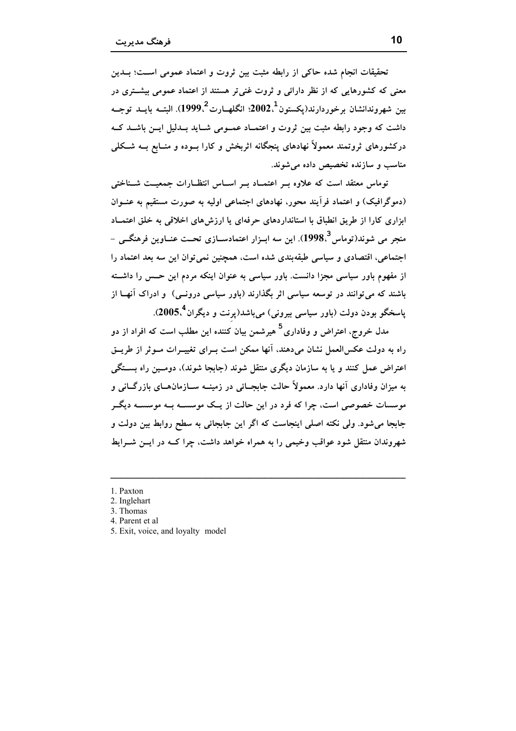تحقیقات انجام شده حاکم از رابطه مثبت بین ثروت و اعتماد عمومی اسـت؛ بــدین معنی که کشورهایی که از نظر دارائی و ثروت غنی تر هستند از اعتماد عمومی بیشتری در بين شهروندانشان برخوردارند(يكستون $2^{\,1}_{\cdot\cdot}$ 2002؛ انگلهــارت $2^{\,2}_{\cdot\cdot}$ 1999). البتــه مايــد توجــه داشت که وجود رابطه مثبت بین ثروت و اعتمـاد عمـومی شـاید بـدلیل ایــن باشــد کــه درکشورهای ثروتمند معمولاً نهادهای پنجگانه اثربخش و کارا بــوده و منــابع بــه شــکلی مناسب و سازنده تخصیص داده می شوند.

توماس معتقد است که علاوه بـر اعتمـاد بـر اسـاس انتظـارات جمعيــت شــناختى (دموگرافیک) و اعتماد فرآیند محور، نهادهای اجتماعی اولیه به صورت مستقیم به عنــوان ابزاری کارا از طریق انطباق با استانداردهای حرفهای یا ارزشهای اخلاقی به خلق اعتمـاد منجر مي شوند(توماس<sup>3</sup> 1998). اين سه ابــزار اعتمادســازي تحــت عنــاوين فرهنگــي -اجتماعی، اقتصادی و سیاسی طبقهبندی شده است، همچنین نمی توان این سه بعد اعتماد را از مفهوم باور سیاسی مجزا دانست. باور سیاسی به عنوان اینکه مردم این حسس را داشته باشند که میتوانند در توسعه سیاسی اثر بگذارند (باور سیاسی درونــی) و ادراک آنهــا از پاسخگو بودن دولت (باور سیاسی بیرونی) میباشد(پرنت و دیگران<sup>4</sup>،2005).

مدل خروج، اعتراض و وفاداری<sup>5</sup> هیرشمن بیان کننده این مطلب است که افراد از دو راه به دولت عکسالعمل نشان می دهند، آنها ممکن است بــرای تغییــرات مــوثر از طریــق اعتراض عمل کنند و یا به سازمان دیگری منتقل شوند (جابجا شوند)، دومـین راه بســتگی به میزان وفاداری آنها دارد. معمولاً حالت جابجــائی در زمینــه ســازمانهــای بازرگــانی و موسسات خصوصی است، چرا که فرد در این حالت از یــک موسســه بــه موسســه دیگــر جابجا می شود. ولی نکته اصلی اینجاست که اگر این جابجائی به سطح روابط بین دولت و شهروندان منتقل شود عواقب وخيمي را به همراه خواهد داشت، چرا كــه در ايــن شــرايط

- 1. Paxton
- 2. Inglehart
- 3. Thomas
- 4. Parent et al
- 5. Exit, voice, and loyalty model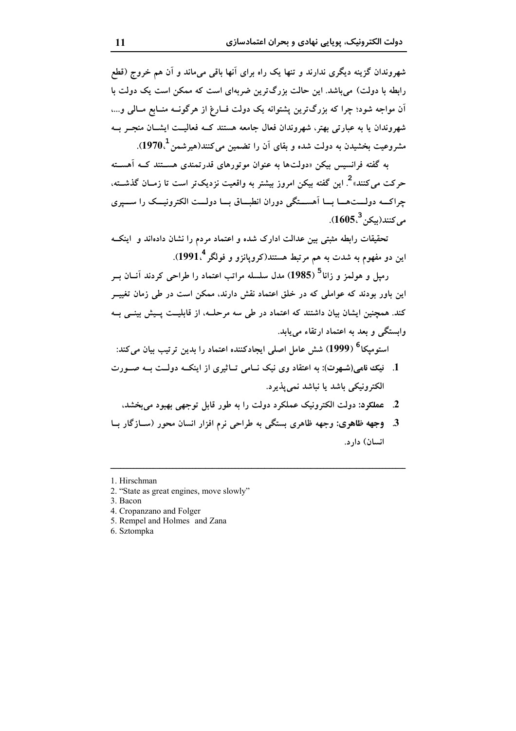شهروندان گزینه دیگری ندارند و تنها یک راه برای آنها باقی میماند و آن هم خروج (قطع رابطه با دولت) می باشد. این حالت بزرگ ترین ضربهای است که ممکن است یک دولت با آن مواجه شود؛ چرا که بزرگترین پشتوانه یک دولت فبارغ از هرگونــه منــابع مــالمي و...، شهروندان یا به عبارتی بهتر، شهروندان فعال جامعه هستند کــه فعالیــت ایشــان منجــر بــه مشروعیت بخشیدن به دولت شده و بقای آن را تضمین میکنند(هیرشمن  $1970$ .

به گفته فرانسیس بیکن «دولتها به عنوان موتورهای قدرتمندی هسـتند کــه آهسـته حرکت می کنند»<sup>2</sup>. این گفته بیکن امروز بیشتر به واقعیت نزدیکتر است تا زمــان گذشـــته، چراکــه دولــتهــا بــا اَهســتگی دوران انطبــاق بــا دولــت الکترونيــک را ســيري  $(1605<sup>3</sup> \cdot 5)$ مر كنند(مك

تحقیقات رابطه مثبتی بین عدالت ادارک شده و اعتماد مردم را نشان دادهاند و اینکـه این دو مفهوم به شدت به هم مرتبط هستند(کروپانزو و فولگر 1991<sup>4</sup>).

رمیل و هولمز و زانا<sup>5</sup> (1985) مدل سلسله مراتب اعتماد را طراحی کردند آنــان بــر این باور بودند که عواملی که در خلق اعتماد نقش دارند، ممکن است در طی زمان تغییــر کند. همچنین ایشان بیان داشتند که اعتماد در طی سه مرحلــه، از قابلیــت پــیش بینــی بــه وابستگی و بعد به اعتماد ارتقاء می باید.

استومیکا<sup>6</sup> (1999) شش عامل اصلی ایجادکننده اعتماد را بدین ترتیب بیان میکند:

- 1. نیک نامی(شهرت): به اعتقاد وی نیک نــامی تــاثیری از اینکــه دولــت بــه صــورت الکترونیکی باشد یا نباشد نمی پذیرد.
	- 2. عملكود: دولت الكترونيك عملكرد دولت را به طور قابل توجهي بهبود مي بخشد،
- 3. وجهه ظاهری: وجهه ظاهری بستگی به طراحی نرم افزار انسان محور (ســازگار بــا انسان) دارد.

- 5. Rempel and Holmes and Zana
- 6. Sztompka

<sup>1</sup> Hirschman

<sup>2. &</sup>quot;State as great engines, move slowly"

<sup>3.</sup> Bacon

<sup>4.</sup> Cropanzano and Folger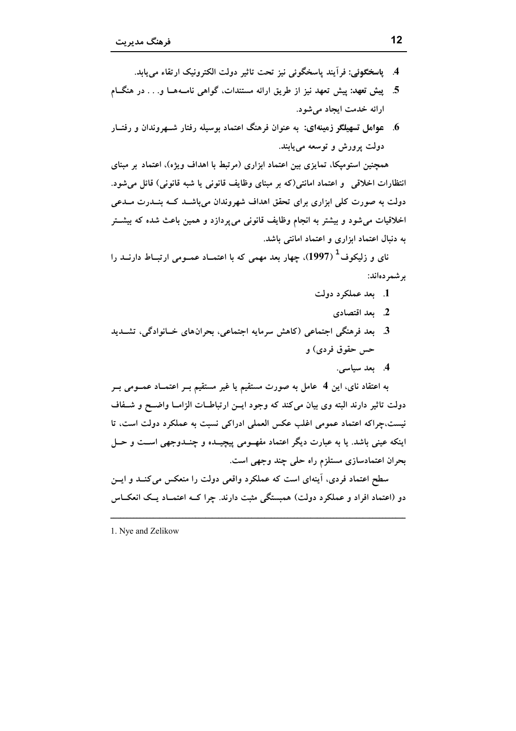- 4. ياسخگوئي: فرآيند ياسخگوئي نيز تحت تاثير دولت الكترونيك ارتقاء مي يابد.
- 5. پیش تعهد: پیش تعهد نیز از طریق ارائه مستندات، گواهی نامـههـا و. . . در هنگــام ارائه خدمت ايجاد مي شود.
- 6. عوامل تسهیلگو زمینهای: به عنوان فرهنگ اعتماد بوسیله رفتار شــهروندان و رفتــار دولت پرورش و توسعه مییابند.

همچنین استومپکا، تمایزی بین اعتماد ابزاری (مرتبط با اهداف ویژه)، اعتماد بر مبنای انتظارات اخلاقی ً و اعتماد امانتی(که بر مبنای وظایف قانونی یا شبه قانونی) قائل میشود. دولت به صورت کلی ابزاری برای تحقق اهداف شهروندان میباشــد کــه بنــدرت مــدعی اخلاقیات می شود و بیشتر به انجام وظایف قانونی می پردازد و همین باعث شده که بیشــتر به دنبال اعتماد ابزاری و اعتماد امانتی باشد.

نای و زلیکوف<sup>1</sup> (1997)، چهار بعد مهمی که با اعتمــاد عمــومی ارتبــاط دارنــد را بر شمر دهاند:

- 1. بعد عملکرد دولت
	- 2. بعد اقتصادي
- 3. بعد فرهنگی اجتماعی (کاهش سرمایه اجتماعی، بحرانهای خـانوادگی، تشــدید حس حقوق فردي) و
	- 4. بعد سياسي.

به اعتقاد نای، این 4 عامل به صورت مستقیم یا غیر مستقیم بــر اعتمــاد عمــومی بــر دولت تاثیر دارند البته وی بیان میکند که وجود ایـن ارتباطـات الزامـا واضـح و شـفاف نيست،چراكه اعتماد عمومي اغلب عكس العملي ادراكي نسبت به عملكرد دولت است، تا اینکه عینی باشد. یا به عبارت دیگر اعتماد مفهــومی پیچیــده و چنــدوجهی اســت و حــل بحران اعتمادسازی مستلزم راه حلی چند وجهی است.

سطح اعتماد فردی، آینهای است که عملکرد واقعی دولت را منعکس می کنــد و ایــن دو (اعتماد افراد و عملکرد دولت) همبستگی مثبت دارند. چرا کــه اعتمــاد یــک انعکــاس

1. Nye and Zelikow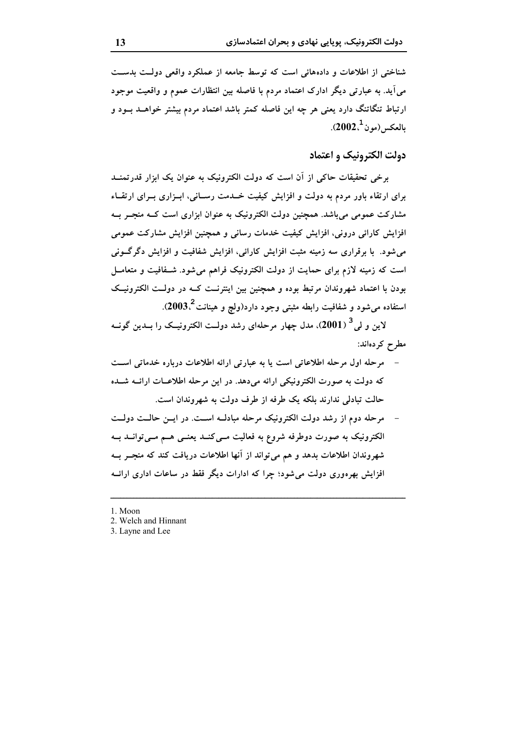شناختی از اطلاعات و دادههائی است که توسط جامعه از عملکرد واقعی دولت بدست می آید. به عبارتی دیگر ادارک اعتماد مردم با فاصله بین انتظارات عموم و واقعیت موجود ارتباط تنگاتنگ دارد یعنی هر چه این فاصله کمتر باشد اعتماد مردم بیشتر خواهــد بــود و  $(2002,^1)$ بالعكس (مو ن

دولت الکترونیک و اعتماد

برخی تحقیقات حاکی از آن است که دولت الکترونیک به عنوان یک ابزار قدرتمنــد برای ارتقاء باور مردم به دولت و افزایش کیفیت خــدمت رســانی، ابــزاری بــرای ارتقــاء مشارکت عمومی میباشد. همچنین دولت الکترونیک به عنوان ابزاری است کـه منجــر بــه افزایش کارائی درونی، افزایش کیفیت خدمات رسانی و همچنین افزایش مشارکت عمومی می شود. با برقراری سه زمینه مثبت افزایش کارائی، افزایش شفافیت و افزایش دگرگونی است که زمینه لازم برای حمایت از دولت الکترونیک فراهم می شود. شـفافیت و متعامــل بودن با اعتماد شهروندان مرتبط بوده و همچنین بین اینترنــت کــه در دولــت الکترونیــک استفاده می شود و شفافیت رابطه مثبتی وجود دارد(ولچ و هینانت 2003.).

لاین و لی<sup>3</sup> (2001)، مدل چهار مرحلهای رشد دولــت الکترونیــک را بــدین گونــه مطرح كردهاند:

- مرحله اول مرحله اطلاعاتی است یا به عبارتی ارائه اطلاعات درباره خدماتی است که دولت به صورت الکترونیکی ارائه میدهد. در این مرحله اطلاعـات ارائــه شــده حالت تبادلی ندارند بلکه یک طرفه از طرف دولت به شهروندان است.
- مرحله دوم از رشد دولت الکترونیک مرحله مبادلـه اسـت. در ایــن حالــت دولــت الکترونیک به صورت دوطرفه شروع به فعالیت مــیکنــد یعنــی هــم مــیتوانــد بــه شهروندان اطلاعات بدهد و هم می تواند از آنها اطلاعات دریافت کند که منجــر بــه افزایش بهرهوری دولت می شود؛ چرا که ادارات دیگر فقط در ساعات اداری ارائــه
- 1 Moon
- 2. Welch and Hinnant
- 3. Layne and Lee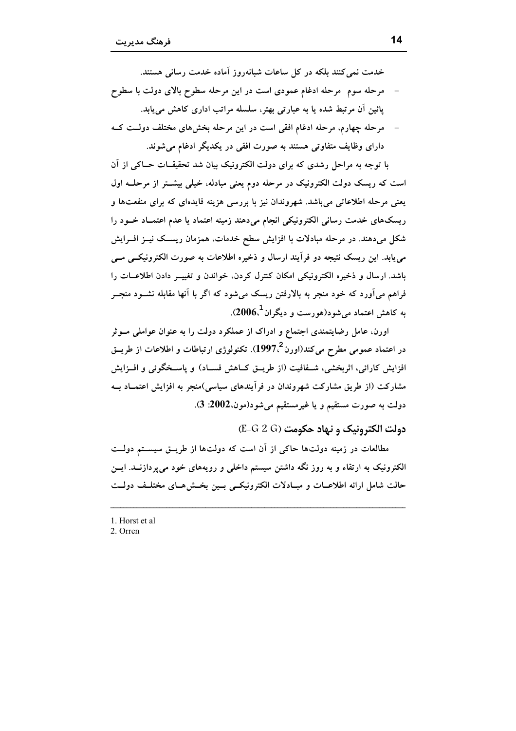خدمت نمی کنند بلکه در کل ساعات شبانهروز آماده خدمت رسانی هستند.

- مرحله سوم ً مرحله ادغام عمودي است در اين مرحله سطوح بالاي دولت با سطوح یائین آن مرتبط شده یا به عبارتی بهتر، سلسله مراتب اداری کاهش می یابد.
- مرحله چهارم، مرحله ادغام افقی است در این مرحله بخشهای مختلف دولـت کـه دارای وظایف متفاوتی هستند به صورت افقی در یکدیگر ادغام می شوند.

با توجه به مراحل رشدی که برای دولت الکترونیک بیان شد تحقیقــات حــاکی از اَن است که ریسک دولت الکترونیک در مرحله دوم یعنی مبادله، خیلی بیشـتر از مرحلــه اول یعنی مرحله اطلاعاتی می باشد. شهروندان نیز با بررسی هزینه فایدهای که برای منفعتها و ریسکهای خدمت رسانی الکترونیکی انجام میدهند زمینه اعتماد یا عدم اعتمـاد خــود را شکل میدهند. در مرحله مبادلات با افزایش سطح خدمات، همزمان ریســک نیــز افــرایش می یابد. این ریسک نتیجه دو فرآیند ارسال و ذخیره اطلاعات به صورت الکترونیکسی مسی باشد. ارسال و ذخیره الکترونیکی امکان کنترل کردن، خواندن و تغییــر دادن اطلاعــات را فراهم میآورد که خود منجر به بالارفتن ریسک میشود که اگر با آنها مقابله نشــود منجــر به کاهش اعتماد می شود(هورست و دیگران $1.606$ ).

اورن، عامل رضایتمندی اجتماع و ادراک از عملکرد دولت را به عنوان عواملی مــوثر در اعتماد عمومی مطرح میکند(اورن<sup>2</sup>،1997). تکنولوژی ارتباطات و اطلاعات از طریــق افزایش کارائی، اثربخشی، شـفافیت (از طریــق کــاهش فســاد) و پاســخگوئی و افــزایش مشارکت (از طریق مشارکت شهروندان در فرآیندهای سیاسی)منجر به افزایش اعتمــاد بــه دولت به صورت مستقیم و یا غیرمستقیم میشود(مون،2002: 3).

دولت الكترونيك و نهاد حكومت (E-G 2 G)

مطالعات در زمینه دولتها حاکی از آن است که دولتها از طریــق سیســتم دولــت الکترونیک به ارتقاء و به روز نگه داشتن سیستم داخلی و رویههای خود میپردازنــد. ایــن حالت شامل ارائه اطلاعــات و مبــادلات الكترونيكــى بــين بخــش هــاى مختلــف دولــت

1. Horst et al 2. Orren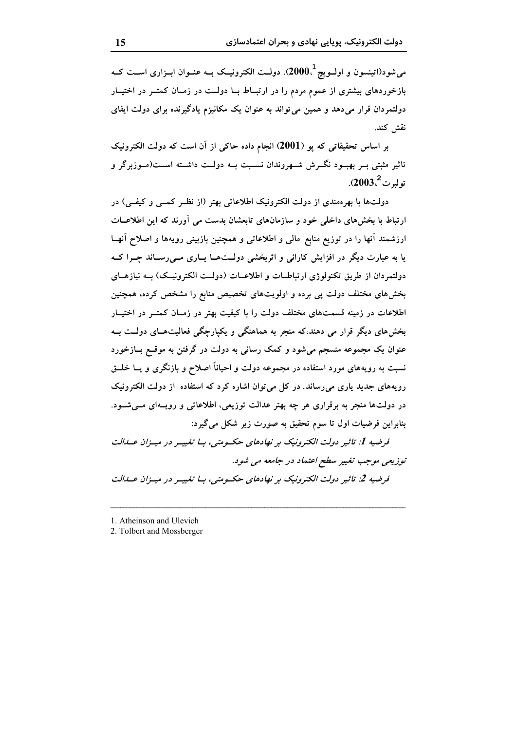می شود(اتینسون و اولــویچ $1000$ . دولــت الکترونیــک بــه عنــوان ابــزاری اســت کــه بازخوردهای بیشتری از عموم مردم را در ارتبـاط بــا دولــت در زمــان کمتــر در اختيــار دولتمردان قرار میدهد و همین می تواند به عنوان یک مکانیزم یادگیرنده برای دولت ایفای نقش كند.

بر اساس تحقیقاتی که پو (2001) انجام داده حاکی از اَن است که دولت الکترونیک تاثیر مثبتی بــر بهبــود نگـــرش شـــهروندان نســبت بــه دولــت داشـــته اســـت(مــوزبرگر و  $1.2003$ بولىرت 2003.

دولتها با بهرهمندی از دولت الکترونیک اطلاعاتی بهتر (از نظـر کمــی و کیفــی) در ارتباط با بخشهای داخلی خود و سازمانهای تابعشان بدست می آورند که این اطلاعــات ارزشمند آنها را در توزیع منابع مالی و اطلاعاتی و همچنین بازبینی رویهها و اصلاح آنهــا یا به عبارت دیگر در افزایش کارائی و اثربخشی دولـتهــا پــاری مــی(ســاند چــرا کــه دولتمردان از طریق تکنولوژی ارتباطــات و اطلاعــات (دولــت الکترونیــک) بــه نیازهــای بخشهای مختلف دولت پی برده و اولویتهای تخصیص منابع را مشخص کرده، همچنین اطلاعات در زمینه قسمتهای مختلف دولت را با کیفیت بهتر در زمـان کمتــر در اختیــار بخشهای دیگر قرار می دهند،که منجر به هماهنگی و یکپارچگی فعالیتهای دولت بـه عنوان یک مجموعه منسجم میشود و کمک رسانی به دولت در گرفتن به موقــع بــازخورد نسبت به رویههای مورد استفاده در مجموعه دولت و احیاناً اصلاح و بازنگری و یــا خلــق رویههای جدید یاری می رساند. در کل می توان اشاره کرد که استفاده از دولت الکترونیک در دولتها منجر به برقراری هر چه بهتر عدالت توزیعی، اطلاعاتی و رویـهای مــیشــود. بنابراین فرضیات اول تا سوم تحقیق به صورت زیر شکل می گیرد: فرضیه 1: تاثیر دولت الکترونیک بر نهادهای حکسومتی، بسا تغیییر در مییزان عبدالت

توزیعی موجب تغییر سطح اعتماد در جامعه می شود. فرضیه 2: تاثیر دولت الکترونیک بر نهادهای حکسومتی، بیا تغیییر در مییزان عبدالت

- 1. Atheinson and Ulevich
- 2. Tolbert and Mossberger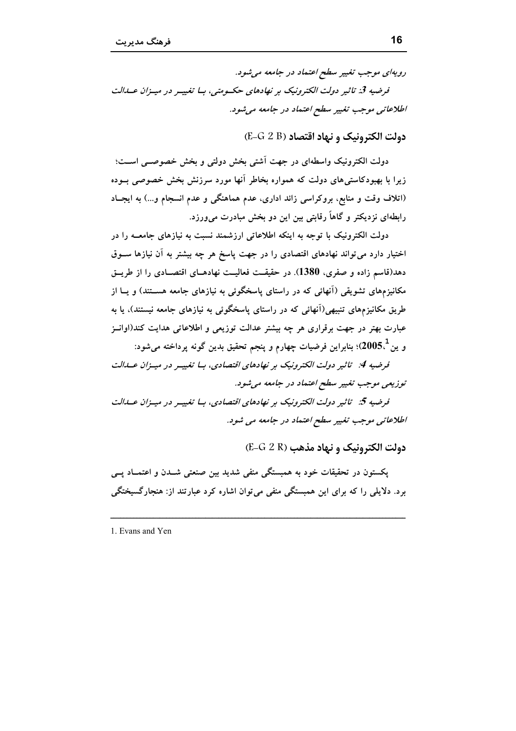رويهای موجب تغيير سطح اعتماد در جامعه می شود.

فرضیه 3: تاثیر دولت الکترونیک بر نهادهای حکسومتی، بسا تغییـر در میـزان عــدالت اطلاعاتي موجب تغيير سطح اعتماد در جامعه مي شود.

دولت الكترونيك و نهاد اقتصاد (E-G 2 B)

دولت الکترونیک واسطهای در جهت آشتی بخش دولتی و بخش خصوصــی اســت؛ زیرا با بهبودکاستی های دولت که همواره بخاطر آنها مورد سرزنش بخش خصوصی بــوده (اتلاف وقت و منابع، بروکراسی زائد اداری، عدم هماهنگی و عدم انسجام و...) به ایجـاد رابطهای نزدیکتر و گاهاً رقابتی بین این دو بخش مبادرت می0رزد.

دولت الکترونیک با توجه به اینکه اطلاعاتی ارزشمند نسبت به نیازهای جامعــه را در اختیار دارد می تواند نهادهای اقتصادی را در جهت پاسخ هر چه بیشتر به آن نیازها ســوق دهد(قاسم زاده و صفري، 1380). در حقيقـت فعاليـت نهادهــاي اقتصــادي را از طريــق مکانیزمهای تشویقی (اَنهائی که در راستای پاسخگوئی به نیازهای جامعه هســتند) و پــا از طریق مکانیزمهای تنبیهی(آنهائی که در راستای پاسخگوئی به نیازهای جامعه نیستند)، یا به عبارت بهتر در جهت برقراري هر چه بیشتر عدالت توزیعی و اطلاعاتی هدایت کند(اوانــز و ين $5.1$ 2005)؛ بنابراين فرضيات چهارم و ينجم تحقيق بدين گونه پرداخته مي شود:

فرضیه 4: تاثیر دولت الکترونیک بر نهادهای اقتصادی، بـا تغییـر در میـزان عـدالت توزیعی موجب تغییر سطح اعتماد در جامعه می شود.

فرضیه 5: تاثیر دولت الکترونیک بر نهادهای اقتصادی، بسا تغییر در میتزان عسالت اطلاعاتی موجب تغییر سطح اعتماد در جامعه می شود.

دولت الكترونيك و نهاد مذهب (E-G 2 R)

پکستون در تحقیقات خود به همبستگی منفی شدید بین صنعتی شــدن و اعتمــاد پــی برد. دلایلی را که برای این همبستگی منفی می توان اشاره کرد عبارتند از: هنجارگسیختگی

1. Evans and Yen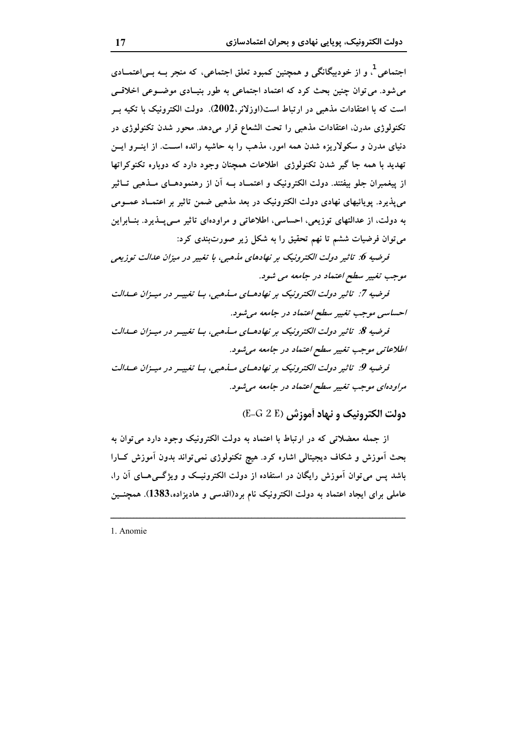اجتماعی <sup>1</sup>، و از خودبیگانگی و همچنین کمبود تعلق اجتماعی، که منجر بــه بــی|عتمــادی می شود. می توان چنین بحث کرد که اعتماد اجتماعی به طور بنیـادی موضــوعی اخلاقــی است که با اعتقادات مذهبی در ارتباط است(اوزلانر،2002). دولت الکترونیک با تکیه بــر تکنولوژی مدرن، اعتقادات مذهبی را تحت الشعاع قرار میدهد. محور شدن تکنولوژی در دنیای مدرن و سکولاریزه شدن همه امور، مذهب را به حاشیه رانده اسـت. از اینــرو ایــن تهدید با همه جا گیر شدن تکنولوژی اطلاعات همچنان وجود دارد که دوباره تکنوکراتها از پیغمبران جلو بیفتند. دولت الکترونیک و اعتمــاد بــه اَن از رهنمودهــای مــذهبی تــاثیر می پذیرد. پویائیهای نهادی دولت الکترونیک در بعد مذهبی ضمن تاثیر بر اعتمـاد عمــومی به دولت، از عدالتهای توزیعی، احساسی، اطلاعاتی و مراودهای تاثیر مــیپــذیرد. بنــابراین می توان فرضیات ششم تا نهم تحقیق را به شکل زیر صورتبندی کرد:

فرضیه 6: تاثیر دولت الکترونیک بر نهادهای مذهبی، با تغییر در میزان عدالت توزیعی موجب تغییر سطح اعتماد در جامعه می شود.

فرضیه 7: تاثیر دولت الکترونیک بر نهادهـای مــذهبی، بــا تغییــر در میــزان عــدالت احساسي موجب تغيير سطح اعتماد در جامعه مي شود.

فرضیه 8: تاثیر دولت الکترونیک بر نهادهـای مــذهبی، بــا تغییــر در میــزان عــدالت اطلاعاتی موجب تغییر سطح اعتماد در جامعه می شود.

فرضیه 9: تاثیر دولت الکترونیک بر نهادهـای مــذهبی، بــا تغییــر در میــزان عــدالت مراودهای موجب تغییر سطح اعتماد در جامعه می شود.

دولت الكترونيك و نهاد أموزش (E-G 2 E)

از جمله معضلاتی که در ارتباط با اعتماد به دولت الکترونیک وجود دارد می توان به بحث آموزش و شکاف دیجیتالی اشاره کرد. هیچ تکنولوژی نمیتواند بدون آموزش کــارا باشد پس می توان آموزش رایگان در استفاده از دولت الکترونیـک و ویژگــی۵ـای آن را، عاملی برای ایجاد اعتماد به دولت الکترونیک نام برد(اقدسی و هادیزاده،1383). همچنــین

1. Anomie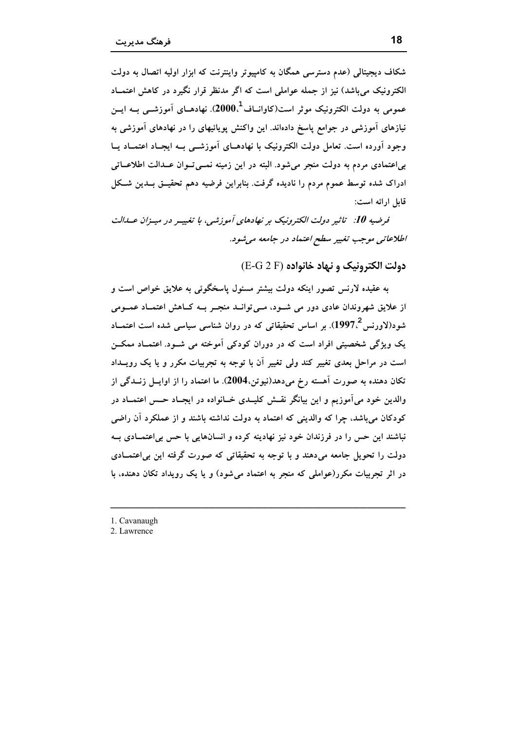شکاف دیجیتالی (عدم دسترسی همگان به کامپیوتر واینترنت که ابزار اولیه اتصال به دولت الکترونیک می باشد) نیز از جمله عواملی است که اگر مدنظر قرار نگیرد در کاهش اعتمــاد عمومی به دولت الکترونیک موثر است(کاوانــاف<sup>1</sup>ـ،2000). نهادهــای آموزشـــی بــه ایـــن نیازهای آموزشی در جوامع پاسخ دادهاند. این واکنش پویائیهای را در نهادهای آموزشی به وجود اَورده است. تعامل دولت الکترونیک با نهادهــای اَموزشــی بــه ایجــاد اعتمــاد یــا بی اعتمادی مردم به دولت منجر می شود. البته در این زمینه نمــی تــوان عــدالت اطلاعــاتی ادراک شده توسط عموم مردم را نادیده گرفت. بنابراین فرضیه دهم تحقیــق بــدین شــکل قابل ارائه است:

قرضیه 10: تاثیر دولت الکترونیک بر نهادهای آموزشی، با تغییـر در میـزان عـدالت اطلاعاتی موجب تغییر سطح اعتماد در جامعه می شود.

دولت الكترونيك و نهاد خانواده (E-G 2 F)

به عقیده لارنس تصور اینکه دولت بیشتر مسئول یاسخگوئی به علایق خواص است و از علایق شهروندان عادی دور می شـود، مـیتوانــد منجـر بــه کــاهش اعتمــاد عمــومی شود(لاورنس<sup>2</sup> 1997). بر اساس تحقیقاتی که در روان شناسی سیاسی شده است اعتمــاد یک ویژگی شخصیتی افراد است که در دوران کودکی آموخته می شـود. اعتمـاد ممکــن است در مراحل بعدی تغییر کند ولی تغییر آن با توجه به تجربیات مکرر و یا یک رویــداد تکان دهنده به صورت آهسته رخ میدهد(نیوتن،2004). ما اعتماد را از اوایــل زنــدگی از والدین خود میآموزیم و این بیانگر نقــش کلیــدی خــانواده در ایجــاد حــس اعتمــاد در کودکان می باشد، چرا که والدینی که اعتماد به دولت نداشته باشند و از عملکرد آن راضی نباشند این حس را در فرزندان خود نیز نهادینه کرده و انسانهایی با حس بی|عتمـادی بــه دولت را تحویل جامعه می،دهند و با توجه به تحقیقاتی که صورت گرفته این بی اعتمــادی در اثر تجربیات مکرر(عواملی که منجر به اعتماد میشود) و یا یک رویداد تکان دهنده، با

- 1. Cavanaugh
- 2. Lawrence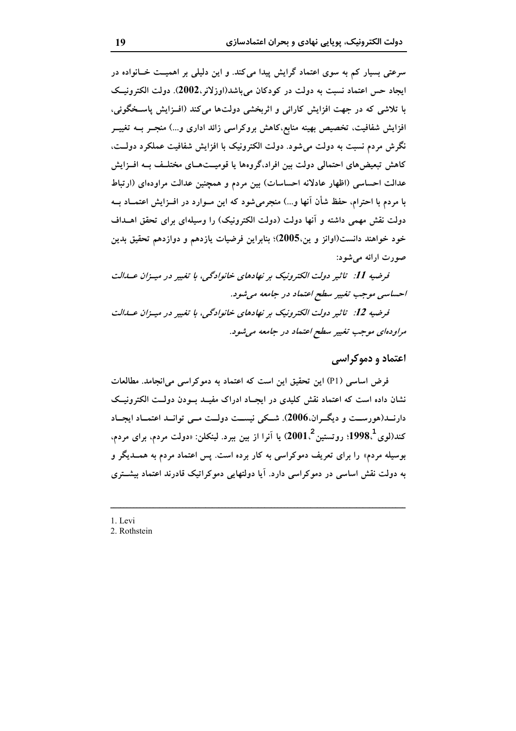سرعتی بسیار کم به سوی اعتماد گرایش پیدا می کند. و این دلیلی بر اهمیــت خــانواده در ايجاد حس اعتماد نسبت به دولت در كودكان مي باشد(اوزلانر،2002). دولت الكترونيــک با تلاشی که در جهت افزایش کارائی و اثربخشی دولتها می کند (افـزایش پاسـخگوئی، افزایش شفافیت، تخصیص بهینه منابع،کاهش بروکراسی زائد اداری و…) منجــر بــه تغییــر نگرش مردم نسبت به دولت میشود. دولت الکترونیک با افزایش شفافیت عملکرد دولــت، کاهش تبعیضهای احتمالی دولت بین افراد،گروهها یا قومیــتهــای مختلــف بــه افــزایش عدالت احساسی (اظهار عادلانه احساسات) بین مردم و همچنین عدالت مراودهای (ارتباط با مردم با احترام، حفظ شأن آنها و...) منجرمیشود که این مـوارد در افــزایش اعتمــاد بــه دولت نقش مهمی داشته و آنها دولت (دولت الکترونیک) را وسیلهای برای تحقق اهــداف خود خواهند دانست(اوانز و ین،2005)؛ بنابراین فرضیات یازدهم و دوازدهم تحقیق بدین صورت ارائه مي شود:

فرضیه 11: تاثیر دولت الکترونیک بر نهادهای خانوادگی، با تغییر در میـزان عــدالت احساسي موجب تغيير سطح اعتماد در جامعه مي شود.

فرضيه 12: تاثير دولت الكترونيك بر نهادهاي خانوادگي، با تغيير در مييزان عبدالت مراودهای موجب تغییر سطح اعتماد در جامعه می شود.

### اعتماد و دموکراسی

فرض اساسی (P1) این تحقیق این است که اعتماد به دموکراسی می انجامد. مطالعات نشان داده است که اعتماد نقش کلیدی در ایجـاد ادراک مفیــد بــودن دولــت الکترونیــک دارنــد(هورســت و دیگــران.2006). شــکی نیســت دولــت مــی توانــد اعتمــاد ایجــاد کند(لوی $3.4^{\,2}$ 998؛ روتستین $1.^{\,2}$ 2001) یا آنرا از بین ببرد. لینکلن: «دولت مردم، برای مردم، بوسیله مردم» را برای تعریف دموکراسی به کار برده است. پس اعتماد مردم به همــدیگر و به دولت نقش اساسی در دموکراسی دارد. آیا دولتهایی دموکراتیک قادرند اعتماد بیشــتری

1. Levi 2. Rothstein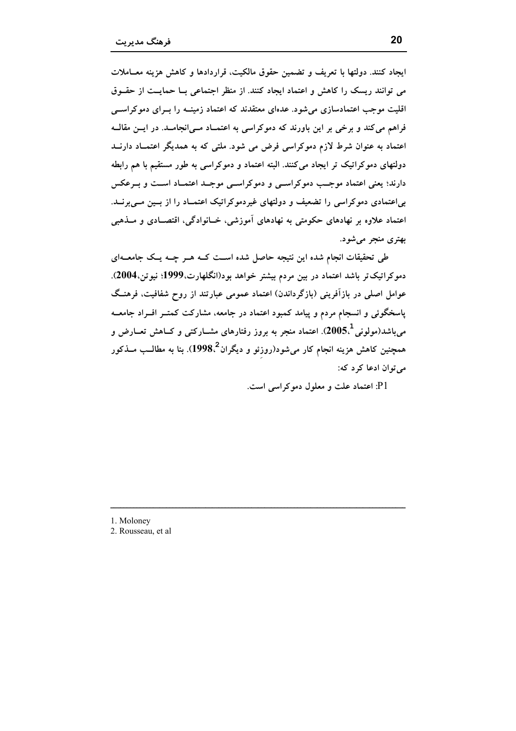ايجاد كنند. دولتها با تعريف و تضمين حقوق مالكيت، قراردادها و كاهش هزينه معــاملات می توانند ریسک را کاهش و اعتماد ایجاد کنند. از منظر اجتماعی بــا حمایــت از حقــوق اقلیت موجب اعتمادسازی می شود. عدهای معتقدند که اعتماد زمینــه را بــرای دموکراســـی فراهم می کند و برخی بر این باورند که دموکراسی به اعتمـاد مـی|نجامـد. در ایــن مقالــه اعتماد به عنوان شرط لازم دموکراسی فرض می شود. ملتی که به همدیگر اعتمـاد دارنــد دولتهای دموکراتیک تر ایجاد میکنند. البته اعتماد و دموکراسی به طور مستقیم با هم رابطه دارند؛ یعنی اعتماد موجب دموکراسـی و دموکراسـی موجـد اعتمـاد اسـت و بـرعکس بی اعتمادی دموکراسی را تضعیف و دولتهای غیردموکراتیک اعتمـاد را از بـین مــیبرنــد. اعتماد علاوه بر نهادهای حکومتی به نهادهای آموزشی، خـانوادگی، اقتصـادی و مــذهبی بهتري منجر مي شود.

طی تحقیقات انجام شده این نتیجه حاصل شده اســت کــه هــر چــه یــک جامعــهای دموکراتیک تر باشد اعتماد در بین مردم بیشتر خواهد بود(انگلهارت،1999؛ نیوتن،2004). عوامل اصلی در بازآفرینی (بازگرداندن) اعتماد عمومی عبارتند از روح شفافیت، فرهنـگ پاسخگوئی و انسجام مردم و پیامد کمبود اعتماد در جامعه، مشارکت کمتـر افـراد جامعــه می باشد(مولونی $5,^1$ 2005). اعتماد منجر به بروز رفتارهای مشــارکتی و کــاهش تعــارض و همچنین کاهش هزینه انجام کار میشود(روزئو و دیگران<sup>2</sup>،1998). بنا به مطالــب مــذکور مي توان ادعا كرد كه:

P1: اعتماد علت و معلول دمو کراسی است.

- 1. Moloney
- 2. Rousseau, et al.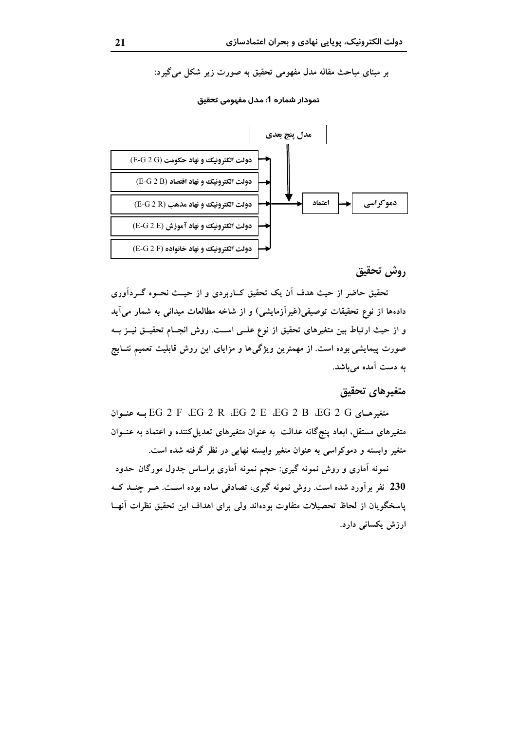بر مبنای مباحث مقاله مدل مفهومی تحقیق به صورت زیر شکل میگیرد:



نمودار شماره 1: مدل مفهومي تحقيق

## روش تحقيق

تحقیق حاضر از حیث هدف آن یک تحقیق کــاربردی و از حیــث نحــوه گـــردآوری دادهها از نوع تحقیقات توصیفی(غیرآزمایشی) و از شاخه مطالعات میدانی به شمار میآید و از حیث ارتباط بین متغیرهای تحقیق از نوع علــی اســت. روش انجــام تحقیــق نیــز بــه صورت پیمایشی بوده است. از مهمترین ویژگیها و مزایای این روش قابلیت تعمیم نتــایج به دست آمده میباشد.

#### متغيرهاي تحقيق

متغیرھای EG 2 F ،EG 2 R ،EG 2 E ،EG 2 B ،EG 2 G سه عنبوان متغیرهای مستقل، ابعاد پنجگانه عدالت به عنوان متغیرهای تعدیل کننده و اعتماد به عنــوان متغیر وابسته و دموکراسی به عنوان متغیر وابسته نهایی در نظر گرفته شده است.

نمونه أماری و روش نمونه گیری: حجم نمونه أماری براساس جدول مورگان حدود 230 نفر برآورد شده است. روش نمونه گیری، تصادفی ساده بوده است. هـر چنــد کــه یاسخگویان از لحاظ تحصیلات متفاوت بودهاند ولی برای اهداف این تحقیق نظرات آنهـا ارزش یکسانی دارد.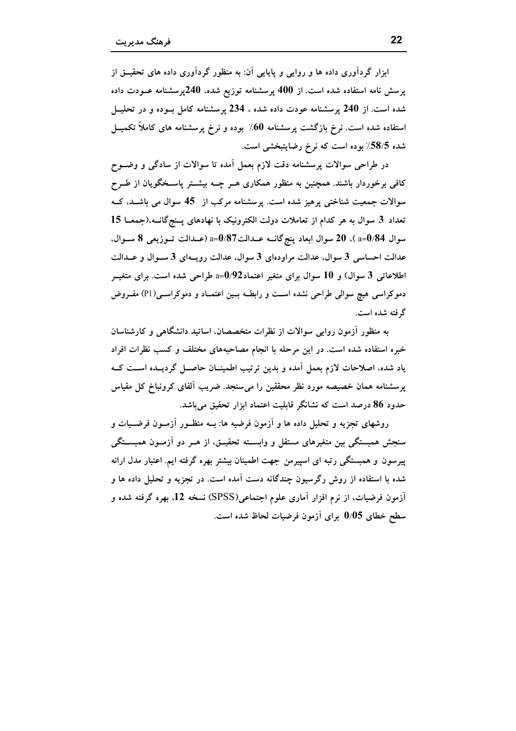ابزار گردآوری داده ها و روایی و پایایی آن: به منظور گردآوری داده های تحقیــق از یرسش نامه استفاده شده است. از 400 پرسشنامه توزیع شده، 240پرسشنامه عــودت داده شده است. از 240 پرسشنامه عودت داده شده ، 234 پرسشنامه کامل بــوده و در تحليــل استفاده شده است. نرخ بازگشت پرسشنامه 60٪ بوده و نرخ پرسشنامه های کاملاً تکمیــل شده 58/5٪ بوده است که نرخ رضایتبخشی است.

در طراحی سوالات پرسشنامه دقت لازم بعمل آمده تا سوالات از سادگی و وضــوح کافی برخوردار باشند. همچنین به منظور همکاری هــر چــه بیشــتر پاســخگویان از طــرح سوالات جمعیت شناختی پرهیز شده است. پرسشنامه مرکب از 45 سوال می باشـد، کـه تعداد 3 سوال به هر كدام از تعاملات دولت الكترونيك با نهادهاى يـنج گانـه.(جمعـا 15 سوال 84/0=a)، 20 سوال ابعاد ينج گانــه عــدالت37/0=a (عــدالت تــوزيعي 8 ســوال، عدالت احساسی 3 سوال، عدالت مراودهای 3 سوال، عدالت رویـهای 3 سـوال و عـدالت اطلاعاتی 3 سوال) و 10 سوال برای متغیر اعتماد $\rm{0/92}$ ه طراحی شده است. برای متغیــر دموکراسی هیچ سوالی طراحی نشده است و رابطـه بـین اعتمـاد و دموکراسـی(P1) مفـروض گرفته شده است.

به منظور آزمون روایی سوالات از نظرات متخصصان، اساتید دانشگاهی و کارشناسان خبره استفاده شده است. در این مرحله با انجام مصاحبههای مختلف و کسب نظرات افراد یاد شده، اصلاحات لازم بعمل اَمده و بدین ترتیب اطمینــان حاصــل گردیــده اســت کــه پرسشنامه همان خصیصه مورد نظر محققین را میسنجد. ضریب آلفای کرونباخ کل مقیاس حدود 86 درصد است که نشانگر قابلیت اعتماد ابزار تحقیق میباشد.

روشهای تجزیه و تحلیل داده ها و آزمون فرضیه ها: بــه منظــور آزمــون فرضــیات و سنجش همبستگی بین متغیرهای مستقل و وابســته تحقیــق، از هــر دو آزمــون همبســتگی پیرسون و همبستگی رتبه ای اسپیرمن جهت اطمینان بیشتر بهره گرفته ایم. اعتبار مدل ارائه شده با استفاده از روش رگرسیون چندگانه دست آمده است. در تجزیه و تحلیل داده ها و اَزمون فرضیات، از نرم افزار اَماری علوم اجتماعی(SPSS) نسخه 12. بهره گرفته شده و سطح خطای 0/05 برای آزمون فرضیات لحاظ شده است.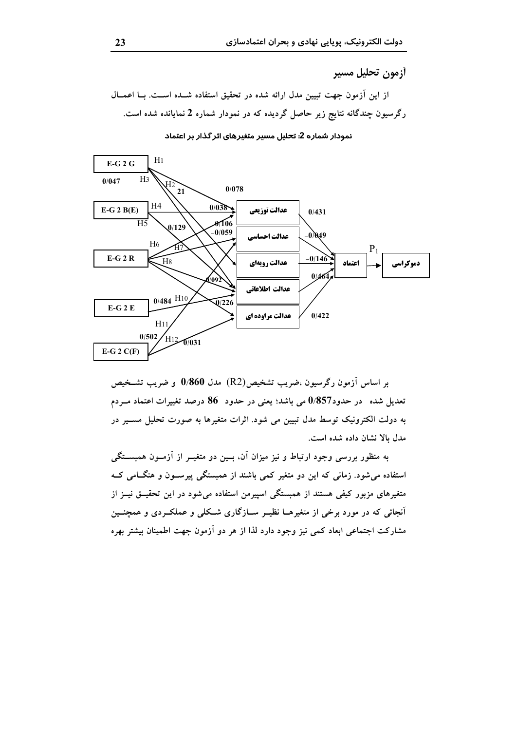أزمون تحليل مسير

از این آزمون جهت تبیین مدل ارائه شده در تحقیق استفاده شـده اسـت. بـا اعمــال رگرسیون چندگانه نتایج زیر حاصل گردیده که در نمودار شماره 2 نمایانده شده است.



نمودار شماره 2: تحلیل مسیر متغیرهای اثر گذار بر اعتماد

بر اساس اَزمون رگرسیون ،ضریب تشخیص(R2) مدل 0/860 و ضریب تشــخیص تعدیل شده ً در حدود857% می باشد؛ یعنی در حدود ً 86 درصد تغییرات اعتماد مــردم به دولت الکترونیک توسط مدل تبیین می شود. اثرات متغیرها به صورت تحلیل مســیر در مدل بالا نشان داده شده است.

به منظور بررسی وجود ارتباط و نیز میزان آن، بــین دو متغیــر از آزمــون همبســتگــم استفاده می شود. زمانی که این دو متغیر کمی باشند از همبستگی پیرســون و هنگــامی کــه متغیرهای مزبور کیفی هستند از همبستگی اسپیرمن استفاده می شود در این تحقیــق نیــز از آنجائی که در مورد برخی از متغیرهــا نظیــر ســازگاری شــکلی و عملکــردی و همچنــین مشارکت اجتماعی ابعاد کمی نیز وجود دارد لذا از هر دو آزمون جهت اطمینان بیشتر بهره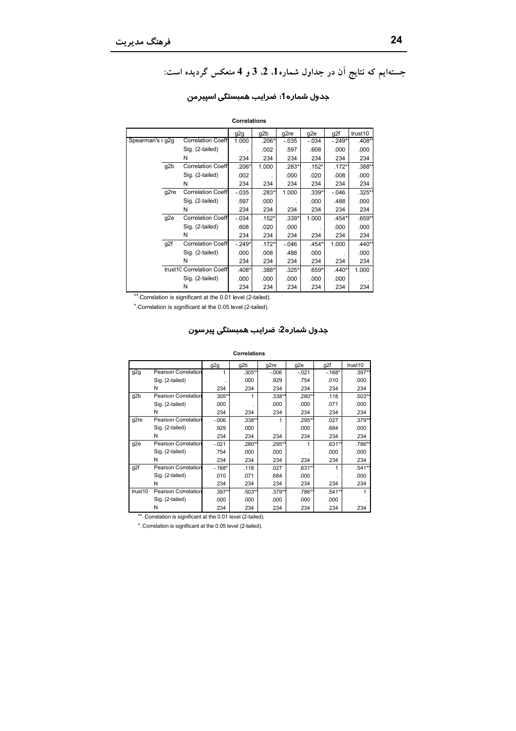# جستهایم که نتایج آن در جداول شماره1، 2، 3و 4 منعکس گردیده است:

| <b>Correlations</b> |                  |                           |          |          |          |          |          |          |  |
|---------------------|------------------|---------------------------|----------|----------|----------|----------|----------|----------|--|
|                     |                  |                           | g2g      | g2b      | g2re     | g2e      | g2f      | trust10  |  |
| Spearman's r g2g    |                  | <b>Correlation Coeff</b>  | 1.000    | .206*    | $-.035$  | $-.034$  | -.249*1  | $.408**$ |  |
|                     |                  | Sig. (2-tailed)           |          | .002     | .597     | .608     | .000     | .000     |  |
|                     |                  | N                         | 234      | 234      | 234      | 234      | 234      | 234      |  |
|                     | g <sub>2</sub> b | <b>Correlation Coeff</b>  | .206*    | 1.000    | .283*1   | $.152*$  | $.172**$ | .388*    |  |
|                     |                  | Sig. (2-tailed)           | .002     |          | .000     | .020     | .008     | .000     |  |
|                     |                  | N                         | 234      | 234      | 234      | 234      | 234      | 234      |  |
|                     | g2re             | <b>Correlation Coeff</b>  | $-.035$  | .283*    | 1.000    | $.339**$ | $-.046$  | $.325*$  |  |
|                     |                  | Sig. (2-tailed)           | .597     | .000     |          | .000     | .488     | .000     |  |
|                     |                  | N                         | 234      | 234      | 234      | 234      | 234      | 234      |  |
|                     | g <sub>2e</sub>  | <b>Correlation Coeff</b>  | $-.034$  | $.152*$  | $.339**$ | 1.000    | .454*    | $.659*$  |  |
|                     |                  | Sig. (2-tailed)           | .608     | .020     | .000     |          | .000     | .000     |  |
|                     |                  | N                         | 234      | 234      | 234      | 234      | 234      | 234      |  |
|                     | g2f              | <b>Correlation Coeff</b>  | $-.249*$ | $.172**$ | $-.046$  | .454*    | 1.000    | $.440*$  |  |
|                     |                  | Sig. (2-tailed)           | .000     | .008     | .488     | .000     |          | .000     |  |
|                     |                  | N                         | 234      | 234      | 234      | 234      | 234      | 234      |  |
|                     |                  | trust10 Correlation Coeff | .408*    | .388*    | $.325**$ | $.659**$ | $.440**$ | 1.000    |  |
|                     |                  | Sig. (2-tailed)           | .000     | .000     | .000     | .000     | .000     |          |  |
|                     |                  | N                         | 234      | 234      | 234      | 234      | 234      | 234      |  |

## جدول شماره1: ضرایب همبستگی اسپیرمن

\*\*. Correlation is significant at the 0.01 level (2-tailed).

\*.Correlation is significant at the 0.05 level (2-tailed).

#### جدول شماره2: ضرايب همبستگي پيرسون

#### Correlations

|         |                            | g2g      | g2b    | g2re     | g2e     | g2f      | trust10 |
|---------|----------------------------|----------|--------|----------|---------|----------|---------|
| g2g     | <b>Pearson Correlation</b> |          | .305** | $-0.006$ | $-.021$ | $-168*$  | .397**  |
|         | Sig. (2-tailed)            |          | .000   | .929     | .754    | .010     | .000    |
|         | N                          | 234      | 234    | 234      | 234     | 234      | 234     |
| g2b     | <b>Pearson Correlation</b> | .305**   | 1      | $.338*$  | .280**  | .118     | .503**  |
|         | Sig. (2-tailed)            | .000     |        | .000     | .000    | .071     | .000    |
|         | N                          | 234      | 234    | 234      | 234     | 234      | 234     |
| g2re    | <b>Pearson Correlation</b> | $-0.006$ | .338** |          | .295**  | .027     | .379**  |
|         | Sig. (2-tailed)            | .929     | .000   |          | .000    | .684     | .000    |
|         | N                          | 234      | 234    | 234      | 234     | 234      | 234     |
| g2e     | Pearson Correlation        | $-.021$  | .280** | .295*    |         | $.631**$ | .786**  |
|         | Sig. (2-tailed)            | .754     | .000   | .000     |         | .000     | .000    |
|         | N                          | 234      | 234    | 234      | 234     | 234      | 234     |
| g2f     | <b>Pearson Correlation</b> | $-168*$  | .118   | .027     | .631**  |          | .541**  |
|         | Sig. (2-tailed)            | .010     | .071   | .684     | .000    |          | .000    |
|         | N                          | 234      | 234    | 234      | 234     | 234      | 234     |
| trust10 | <b>Pearson Correlation</b> | .397**   | .503** | .379**   | .786**  | .541**   |         |
|         | Sig. (2-tailed)            | .000     | .000   | .000     | .000    | .000     |         |
|         | N                          | 234      | 234    | 234      | 234     | 234      | 234     |

\*\*. Correlation is significant at the 0.01 level (2-tailed).

\*. Correlation is significant at the 0.05 level (2-tailed).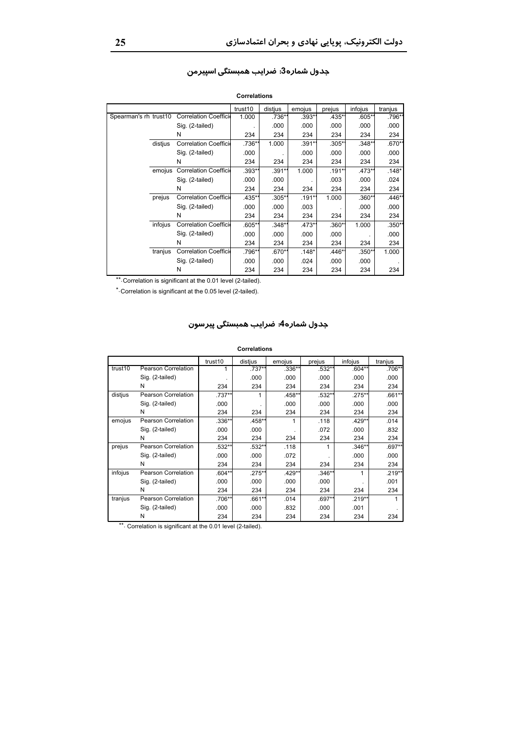|                       |         |                      | trust10  | distius  | emojus  | prejus   | infojus  | tranjus  |
|-----------------------|---------|----------------------|----------|----------|---------|----------|----------|----------|
| Spearman's rh trust10 |         | Correlation Coeffici | 1.000    | .736**   | .393*1  | .435*1   | $.605**$ | .796**   |
|                       |         | Sig. (2-tailed)      |          | .000     | .000    | .000     | .000     | .000     |
|                       |         | N                    | 234      | 234      | 234     | 234      | 234      | 234      |
|                       | distius | Correlation Coeffici | .736**   | 1.000    | .391*1  | .305**   | .348*'   | $.670**$ |
|                       |         | Sig. (2-tailed)      | .000     |          | .000    | .000     | .000     | .000     |
|                       |         | N                    | 234      | 234      | 234     | 234      | 234      | 234      |
|                       | emojus  | Correlation Coeffici | $.393**$ | .391**   | 1.000   | .191**   | $.473**$ | $.148*$  |
|                       |         | Sig. (2-tailed)      | .000     | .000     |         | .003     | .000     | .024     |
|                       |         | N                    | 234      | 234      | 234     | 234      | 234      | 234      |
|                       | prejus  | Correlation Coeffici | .435*    | .305**   | .191*1  | 1.000    | .360**   | $.446*$  |
|                       |         | Sig. (2-tailed)      | .000     | .000     | .003    |          | .000     | .000     |
|                       |         | N                    | 234      | 234      | 234     | 234      | 234      | 234      |
|                       | infojus | Correlation Coeffici | $.605**$ | $.348**$ | .473*1  | .360**   | 1.000    | $.350**$ |
|                       |         | Sig. (2-tailed)      | .000     | .000     | .000    | .000     |          | .000     |
|                       |         | N                    | 234      | 234      | 234     | 234      | 234      | 234      |
|                       | tranjus | Correlation Coeffici | .796*    | .670**   | $.148*$ | $.446**$ | $.350**$ | 1.000    |
|                       |         | Sig. (2-tailed)      | .000     | .000     | .024    | .000     | .000     |          |
|                       |         | N                    | 234      | 234      | 234     | 234      | 234      | 234      |

#### جدول شماره3: ضرایب همبستگی اسپیرمن

Correlations

\*\*. Correlation is significant at the 0.01 level (2-tailed).

\* Correlation is significant at the 0.05 level (2-tailed).

#### جدول شماره4: ضرایب همبستگی پیرسون

#### Correlations

|         |                     | trust10  | distius  | emojus | prejus   | infojus  | tranjus  |
|---------|---------------------|----------|----------|--------|----------|----------|----------|
| trust10 | Pearson Correlation |          | .737**   | .336** | .532**   | $.604**$ | .706**   |
|         | Sig. (2-tailed)     |          | .000     | .000   | .000     | .000     | .000     |
|         | N                   | 234      | 234      | 234    | 234      | 234      | 234      |
| distius | Pearson Correlation | .737**   | 1        | .458** | .532**   | .275**   | $.661**$ |
|         | Sig. (2-tailed)     | .000     |          | .000   | .000     | .000     | .000     |
|         | N                   | 234      | 234      | 234    | 234      | 234      | 234      |
| emojus  | Pearson Correlation | $.336**$ | .458**   | 1      | .118     | .429**   | .014     |
|         | Sig. (2-tailed)     | .000     | .000     |        | .072     | .000     | .832     |
|         | N                   | 234      | 234      | 234    | 234      | 234      | 234      |
| prejus  | Pearson Correlation | .532**   | .532**   | .118   |          | .346**   | .697**   |
|         | Sig. (2-tailed)     | .000     | .000     | .072   |          | .000     | .000     |
|         | N                   | 234      | 234      | 234    | 234      | 234      | 234      |
| infojus | Pearson Correlation | $.604**$ | .275**   | .429** | $.346**$ |          | .219**   |
|         | Sig. (2-tailed)     | .000     | .000     | .000   | .000     |          | .001     |
|         | N                   | 234      | 234      | 234    | 234      | 234      | 234      |
| tranjus | Pearson Correlation | .706**   | $.661**$ | .014   | $.697**$ | .219**   |          |
|         | Sig. (2-tailed)     | .000     | .000     | .832   | .000     | .001     |          |
|         | N                   | 234      | 234      | 234    | 234      | 234      | 234      |

\*\*. Correlation is significant at the 0.01 level (2-tailed).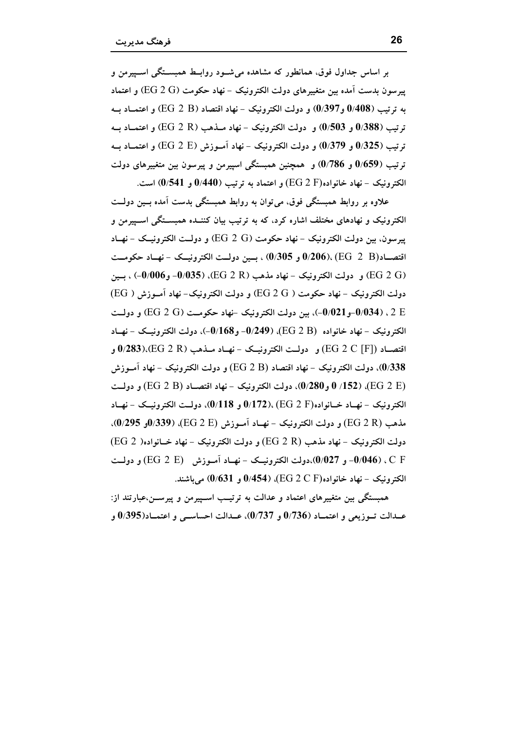بر اساس جداول فوق، همانطور که مشاهده می شــود روابــط همبســتگی اســییرمن و ييوسون بدست آمده بين متغييرهاي دولت الكترونيك - نهاد حكومت (EG 2 G) و اعتماد به ترتيب (0/408 و0/397) و دولت الكترونيك - نهاد اقتصاد (EG 2 B) و اعتمــاد بــه ترتيب (0/388 و 0/503) و دولت الكترونيک – نهاد مــذهب (EG 2 R) و اعتمــاد بــه ترتيب (0/325 و 379/0) و دولت الكترونيك – نهاد آمــوزش (EG 2 E) و اعتمــاد بــه ترتیب (59/059 و 786/0) و همچنین همبستگی اسپیرمن و پیرسون بین متغییرهای دولت الكترونيک – نهاد خانواده $(\rm EG~2~F)$ و اعتماد به ترتيب (440/0 و 541/() است.

علاوه بر روابط همبستگی فوق، می توان به روابط همبستگی بدست آمده بسین دولــت الکترونیک و نهادهای مختلف اشاره کرد، که به ترتیب بیان کننــده همبســتگی اســییرمن و يبرسون، بين دولت الكترونيك - نهاد حكومت (EG 2 G) و دولــت الكترونيــك - نهــاد اقتصــاد(EG 2 B) ،(206/ر 0/305) ، بــين دولــت الكترونيــك - نهــاد حكومــت و دولت الكترونيك – نهاد مذهب (EG 2 R)، (0/006– و0/006) ، بــين (0/006–) دولت الكترونيك – نهاد حكومت ( EG 2 G) و دولت الكترونيك- نهاد آمــوزش ( EG) ر (0/034-10/021)، بين دولت الكترونيك -نهاد حكومت (EG 2 G) و دولت الكترونيك - نهاد خانواده (EG 2 B)، (1689- و168/0)، دولت الكترونيك - نهياد اقتصــاد (EG 2 C [F]) و دولــت الكترونيــك – نهــاد مــذهب (EG 2 R)،(83).(EG و و دولت الكترونيك – نهاد اقتصاد (EG 2 B) و دولت الكترونيك – نهاد آمــوزش) (EG 2 B) و دولت (EG 2 E)، (152/ 0 و30/0)، دولت الكترونيك - نهاد اقتصـاد (EG 2 B) و دولـت $\left( \mathrm{EG} ~ 2 ~ \mathrm{B} \right)$ الكترونيك – نهــاد خــانواده(EG 2 F) ،(172). (EG و 118%)، دولــت الكترونيــك – نهــاد مذهب (EG 2 R) و دولت الكترونيك - نهــاد آمــوزش (EG 2 E))، (339%و 9/295). دولت الكترونيك - نهاد مذهب (EG 2 R) و دولت الكترونيك - نهاد خــانواده( EG 2) C F ، (0/046- و 0/027)،دولت الكترونيــك - نهــاد آمــوزش (EG 2 E) و دولــت الكترونيك – نهاد خانواده(EG 2 C F)، (154) و 0/631) مي باشند.

همبستگی بین متغییرهای اعتماد و عدالت به ترتیـب اسـپیرمن و پیرســن،عبارتند از: عــدالت تــوزيعي و اعتمــاد (0/736 و 0/737)، عــدالت احساســي و اعتمــاد(9/395 و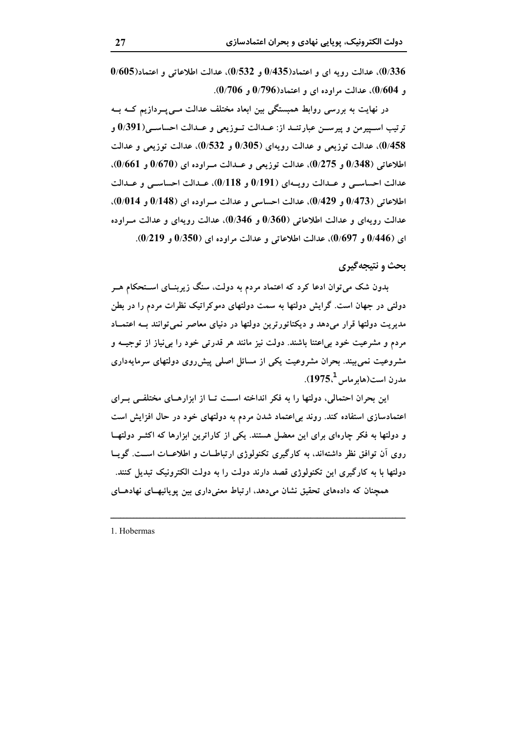$0/605$ )، عدالت رویه ای و اعتماد $0/435$  و  $0/532$ )، عدالت اطلاعاتی و اعتماد $0/605$ )  $(0.706)$ و  $(0.706)$ )، عدالت مراوده ای و اعتماد $(0.796)$  و  $(0.706)$ .

در نھایت به بررسی روابط ہمبستگی بین ابعاد مختلف عدالت مــی پــردازیم کــه بــه ترتيب اســپيرمن و پيرســن عبارتنــد از: عــدالت تــوزيعي و عــدالت احساســي(9/391 و 0/458)، عدالت توزیعی و عدالت رویهای (0/305 و 0/532)، عدالت توزیعی و عدالت اطلاعاتی (0/348 و 0/275)، عدالت توزیعی و عــدالت مــراوده ای (0/670 و 0/661). عدالت احساسـي و عـدالت رويــهاي (0/191 و 0/118)، عـدالت احساسـي و عـدالت  $(0/473)$  اطلاعاتی  $(0/473)$ و  $(0/429)$ )، عدالت احساسی و عدالت مراوده ای  $(0/148)$ و  $(0/014)$ )، عدالت رويهاي و عدالت اطلاعاتي (0/360 و 346/0)، عدالت رويهاي و عدالت مــراوده ای (0/446 و 0/697))، عدالت اطلاعاتی و عدالت مراوده ای (0/350 و 0/219).

### بحث و نتيجه گيري

بدون شک می توان ادعا کرد که اعتماد مردم به دولت، سنگ زیربنــای اســتحکام هــر دولتی در جهان است. گرایش دولتها به سمت دولتهای دموکراتیک نظرات مردم را در بطن مدیریت دولتها قرار میدهد و دیکتاتورترین دولتها در دنیای معاصر نمی توانند بـه اعتمـاد مردم و مشرعیت خود بی!عتنا باشند. دولت نیز مانند هر قدرتی خود را بی نیاز از توجیــه و مشروعیت نمی بیند. بحران مشروعیت یکی از مسائل اصلی پیشرروی دولتهای سرمایهداری مدرن است(هابر ماس<sup>1</sup>,1975).

این بحران احتمالی، دولتها را به فکر انداخته اسـت تــا از ابزارهــای مختلفــی بــرای اعتمادسازی استفاده کند. روند بی اعتماد شدن مردم به دولتهای خود در حال افزایش است و دولتها به فکر چارهای برای این معضل هستند. یکی از کاراترین ابزارها که اکثــر دولتهــا روی اَن توافق نظر داشتهاند، به کارگیری تکنولوژی ارتباطـات و اطلاعــات اســت. گویــا دولتها با به کارگیری این تکنولوژی قصد دارند دولت را به دولت الکترونیک تبدیل کنند. همچنان که دادههای تحقیق نشان می دهد، ارتباط معنی داری بین یوپائیهـای نهادهــای

1. Hobermas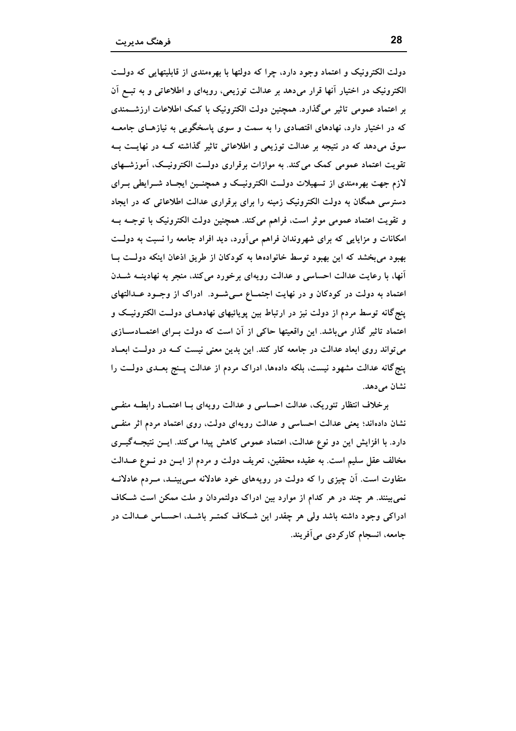دولت الکترونیک و اعتماد وجود دارد، چرا که دولتها با بهرهمندی از قابلیتهایی که دولت الکترونیک در اختیار آنها قرار میدهد بر عدالت توزیعی، رویهای و اطلاعاتی و به تبــع اَن بر اعتماد عمومی تاثیر میگذارد. همچنین دولت الکترونیک با کمک اطلاعات ارزشــمندی که در اختیار دارد، نهادهای اقتصادی را به سمت و سوی پاسخگویی به نیازهـای جامعــه سوق می،دهد که در نتیجه بر عدالت توزیعی و اطلاعاتی تاثیر گذاشته کـه در نهایــت بــه تقویت اعتماد عمومی کمک می کند. به موازات برقراری دولت الکترونیک، آموزشـهای لازم جهت بهرهمندی از تسهیلات دولـت الکترونیـک و همچنــین ایجــاد شــرایطی بــرای دسترسی همگان به دولت الکترونیک زمینه را برای برقراری عدالت اطلاعاتی که در ایجاد و تقویت اعتماد عمومی موثر است، فراهم میکند. همچنین دولت الکترونیک با توجــه بــه امکانات و مزایایی که برای شهروندان فراهم میآورد، دید افراد جامعه را نسبت به دولت بهبود می بخشد که این بهبود توسط خانوادهها به کودکان از طریق اذعان اینکه دولت بـا أنها، با رعایت عدالت احساسی و عدالت رویهای برخورد می کند، منجر به نهادینــه شــدن اعتماد به دولت در کودکان و در نهایت اجتمــاع مــیشــود. ادراک از وجــود عــدالتهای پنج گانه توسط مردم از دولت نیز در ارتباط بین پویائیهای نهادهـای دولـت الکترونیـک و اعتماد تاثیر گذار می باشد. این واقعیتها حاکی از آن است که دولت بـرای اعتمــادســازی می تواند روی ابعاد عدالت در جامعه کار کند. این بدین معنی نیست کـه در دولـت ابعـاد پنج گانه عدالت مشهود نیست، بلکه دادهها، ادراک مردم از عدالت پـنج بعــدی دولــت را نشان می دهد.

برخلاف انتظار تئوریک، عدالت احساسی و عدالت رویهای بــا اعتمــاد رابطــه منفــی نشان دادهاند؛ یعنی عدالت احساسی و عدالت رویهای دولت، روی اعتماد مردم اثر منفـی دارد. با افزایش این دو نوع عدالت، اعتماد عمومی کاهش پیدا می کند. ایــن نتیجــهگیــری مخالف عقل سليم است. به عقيده محققين، تعريف دولت و مردم از ايــن دو نــوع عــدالت متفاوت است. اَن چیزی را که دولت در رویههای خود عادلانه مــی.پینــد، مــردم عادلانــه نمی بینند. هر چند در هر کدام از موارد بین ادراک دولتمردان و ملت ممکن است شـکاف ادراکی وجود داشته باشد ولی هر چقدر این شـکاف کمتـر باشـد، احســاس عــدالت در جامعه، انسجام کارکردی می آفریند.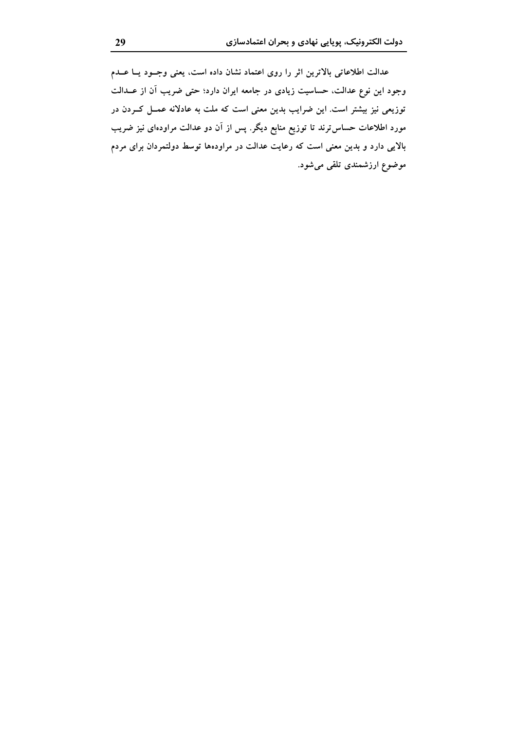عدالت اطلاعاتی بالاترین اثر را روی اعتماد نشان داده است، یعنی وجـود یــا عــدم وجود این نوع عدالت، حساسیت زیادی در جامعه ایران دارد؛ حتی ضریب آن از عــدالت توزیعی نیز بیشتر است. این ضرایب بدین معنی است که ملت به عادلانه عمــل کــردن در مورد اطلاعات حساس ترند تا توزیع منابع دیگر. پس از آن دو عدالت مراودهای نیز ضریب بالایی دارد و بدین معنی است که رعایت عدالت در مراودهها توسط دولتمردان برای مردم موضوع ارزشمندی تلقی میشود.